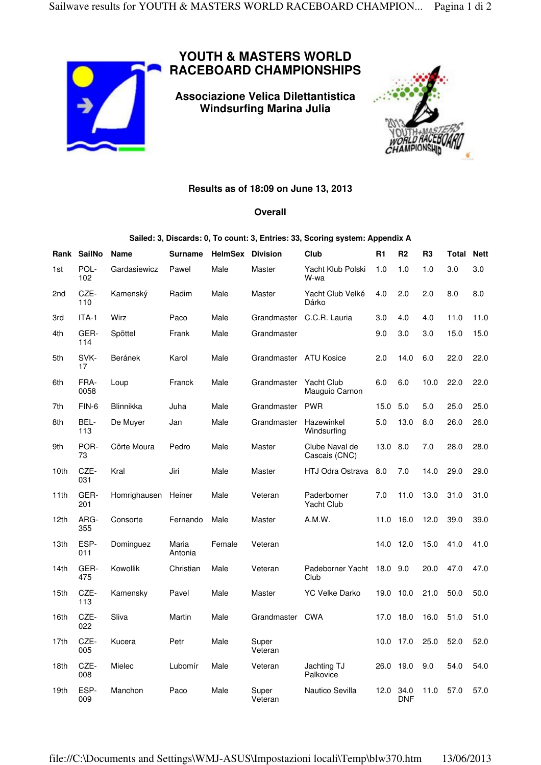

## **YOUTH & MASTERS WORLD RACEBOARD CHAMPIONSHIPS**

**Associazione Velica Dilettantistica Windsurfing Marina Julia** 



## **Results as of 18:09 on June 13, 2013**

## **Overall**

**Sailed: 3, Discards: 0, To count: 3, Entries: 33, Scoring system: Appendix A** 

| Rank             | <b>SailNo</b> | <b>Name</b>      | <b>Surname</b>   | HelmSex | <b>Division</b>        | Club                                | R <sub>1</sub> | R <sub>2</sub>     | R <sub>3</sub> | Total | <b>Nett</b> |
|------------------|---------------|------------------|------------------|---------|------------------------|-------------------------------------|----------------|--------------------|----------------|-------|-------------|
| 1st              | POL-<br>102   | Gardasiewicz     | Pawel            | Male    | Master                 | Yacht Klub Polski<br>W-wa           | 1.0            | 1.0                | 1.0            | 3.0   | 3.0         |
| 2 <sub>nd</sub>  | CZE-<br>110   | Kamenský         | Radim            | Male    | Master                 | Yacht Club Velké<br>Dárko           | 4.0            | 2.0                | 2.0            | 8.0   | 8.0         |
| 3rd              | ITA-1         | Wirz             | Paco             | Male    |                        | Grandmaster C.C.R. Lauria           | 3.0            | 4.0                | 4.0            | 11.0  | 11.0        |
| 4th              | GER-<br>114   | Spöttel          | Frank            | Male    | Grandmaster            |                                     | 9.0            | 3.0                | 3.0            | 15.0  | 15.0        |
| 5th              | SVK-<br>17    | Beránek          | Karol            | Male    | Grandmaster ATU Kosice |                                     | 2.0            | 14.0               | 6.0            | 22.0  | 22.0        |
| 6th              | FRA-<br>0058  | Loup             | Franck           | Male    | Grandmaster            | <b>Yacht Club</b><br>Mauguio Carnon | 6.0            | 6.0                | 10.0           | 22.0  | 22.0        |
| 7th              | FIN-6         | <b>Blinnikka</b> | Juha             | Male    | Grandmaster            | <b>PWR</b>                          | 15.0           | 5.0                | 5.0            | 25.0  | 25.0        |
| 8th              | BEL-<br>113   | De Muyer         | Jan              | Male    | Grandmaster            | Hazewinkel<br>Windsurfing           | 5.0            | 13.0               | 8.0            | 26.0  | 26.0        |
| 9th              | POR-<br>73    | Côrte Moura      | Pedro            | Male    | Master                 | Clube Naval de<br>Cascais (CNC)     | 13.0 8.0       |                    | 7.0            | 28.0  | 28.0        |
| 10th             | CZE-<br>031   | Kral             | Jiri             | Male    | Master                 | <b>HTJ Odra Ostrava</b>             | 8.0            | 7.0                | 14.0           | 29.0  | 29.0        |
| 11th             | GER-<br>201   | Homrighausen     | Heiner           | Male    | Veteran                | Paderborner<br><b>Yacht Club</b>    | 7.0            | 11.0               | 13.0           | 31.0  | 31.0        |
| 12th             | ARG-<br>355   | Consorte         | Fernando         | Male    | Master                 | A.M.W.                              |                | 11.0 16.0          | 12.0           | 39.0  | 39.0        |
| 13th             | ESP-<br>011   | Dominguez        | Maria<br>Antonia | Female  | Veteran                |                                     |                | 14.0 12.0          | 15.0           | 41.0  | 41.0        |
| 14 <sub>th</sub> | GER-<br>475   | Kowollik         | Christian        | Male    | Veteran                | Padeborner Yacht<br>Club            | 18.0 9.0       |                    | 20.0           | 47.0  | 47.0        |
| 15th             | CZE-<br>113   | Kamensky         | Pavel            | Male    | Master                 | <b>YC Velke Darko</b>               |                | 19.0 10.0          | 21.0           | 50.0  | 50.0        |
| 16th             | CZE-<br>022   | Sliva            | Martin           | Male    | Grandmaster            | <b>CWA</b>                          |                | 17.0 18.0          | 16.0           | 51.0  | 51.0        |
| 17th             | CZE-<br>005   | Kucera           | Petr             | Male    | Super<br>Veteran       |                                     |                | 10.0 17.0          | 25.0           | 52.0  | 52.0        |
| 18th             | CZE-<br>008   | Mielec           | Lubomír          | Male    | Veteran                | Jachting TJ<br>Palkovice            |                | 26.0 19.0          | 9.0            | 54.0  | 54.0        |
| 19th             | ESP-<br>009   | Manchon          | Paco             | Male    | Super<br>Veteran       | Nautico Sevilla                     | 12.0           | 34.0<br><b>DNF</b> | 11.0           | 57.0  | 57.0        |